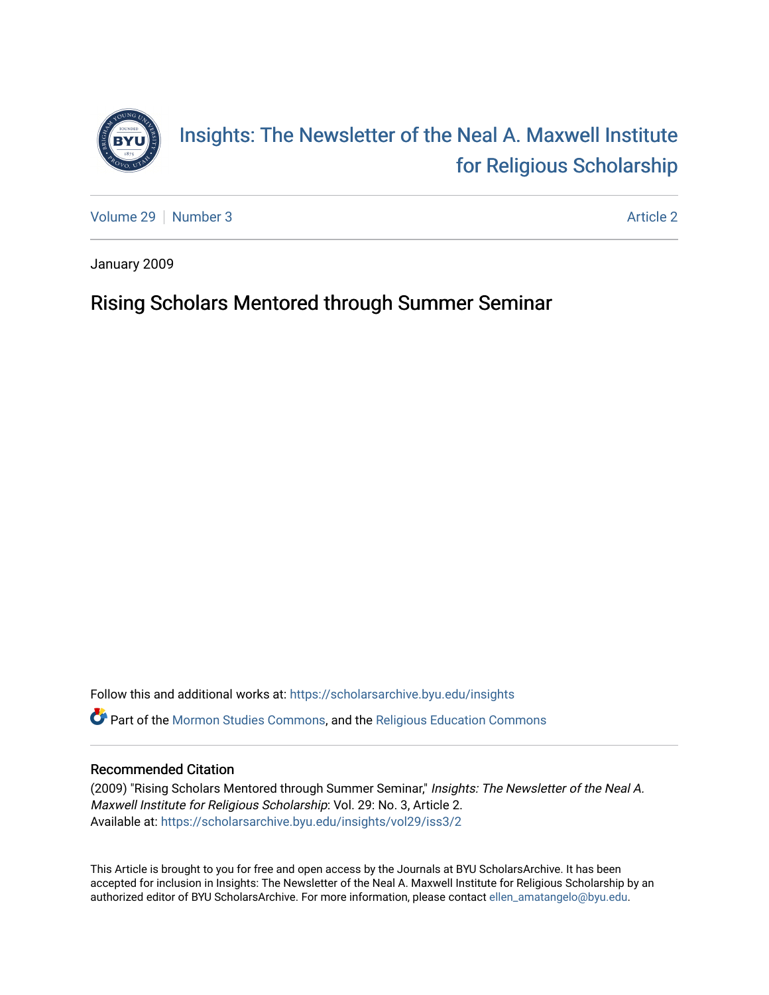

[Volume 29](https://scholarsarchive.byu.edu/insights/vol29) [Number 3](https://scholarsarchive.byu.edu/insights/vol29/iss3) [Article 2](https://scholarsarchive.byu.edu/insights/vol29/iss3/2) Article 2

January 2009

## Rising Scholars Mentored through Summer Seminar

Follow this and additional works at: [https://scholarsarchive.byu.edu/insights](https://scholarsarchive.byu.edu/insights?utm_source=scholarsarchive.byu.edu%2Finsights%2Fvol29%2Fiss3%2F2&utm_medium=PDF&utm_campaign=PDFCoverPages)  Part of the [Mormon Studies Commons](https://network.bepress.com/hgg/discipline/1360?utm_source=scholarsarchive.byu.edu%2Finsights%2Fvol29%2Fiss3%2F2&utm_medium=PDF&utm_campaign=PDFCoverPages), and the [Religious Education Commons](https://network.bepress.com/hgg/discipline/1414?utm_source=scholarsarchive.byu.edu%2Finsights%2Fvol29%2Fiss3%2F2&utm_medium=PDF&utm_campaign=PDFCoverPages) 

### Recommended Citation

(2009) "Rising Scholars Mentored through Summer Seminar," Insights: The Newsletter of the Neal A. Maxwell Institute for Religious Scholarship: Vol. 29: No. 3, Article 2. Available at: [https://scholarsarchive.byu.edu/insights/vol29/iss3/2](https://scholarsarchive.byu.edu/insights/vol29/iss3/2?utm_source=scholarsarchive.byu.edu%2Finsights%2Fvol29%2Fiss3%2F2&utm_medium=PDF&utm_campaign=PDFCoverPages) 

This Article is brought to you for free and open access by the Journals at BYU ScholarsArchive. It has been accepted for inclusion in Insights: The Newsletter of the Neal A. Maxwell Institute for Religious Scholarship by an authorized editor of BYU ScholarsArchive. For more information, please contact [ellen\\_amatangelo@byu.edu.](mailto:ellen_amatangelo@byu.edu)